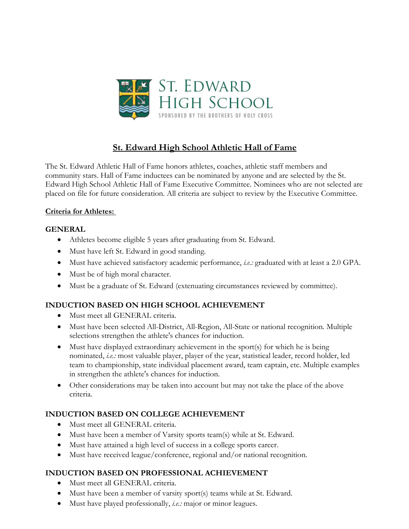

## **St. Edward High School Athletic Hall of Fame**

The St. Edward Athletic Hall of Fame honors athletes, coaches, athletic staff members and community stars. Hall of Fame inductees can be nominated by anyone and are selected by the St. Edward High School Athletic Hall of Fame Executive Committee. Nominees who are not selected are placed on file for future consideration. All criteria are subject to review by the Executive Committee.

#### **Criteria for Athletes:**

#### **GENERAL**

- Athletes become eligible 5 years after graduating from St. Edward.
- Must have left St. Edward in good standing.
- Must have achieved satisfactory academic performance, *i.e.:* graduated with at least a 2.0 GPA.
- Must be of high moral character.
- Must be a graduate of St. Edward (extenuating circumstances reviewed by committee).

### **INDUCTION BASED ON HIGH SCHOOL ACHIEVEMENT**

- Must meet all GENERAL criteria.
- Must have been selected All-District, All-Region, All-State or national recognition*.* Multiple selections strengthen the athlete's chances for induction.
- Must have displayed extraordinary achievement in the sport(s) for which he is being nominated, *i.e.:* most valuable player, player of the year, statistical leader, record holder, led team to championship, state individual placement award, team captain, etc. Multiple examples in strengthen the athlete's chances for induction.
- Other considerations may be taken into account but may not take the place of the above criteria.

#### **INDUCTION BASED ON COLLEGE ACHIEVEMENT**

- Must meet all GENERAL criteria.
- Must have been a member of Varsity sports team(s) while at St. Edward.
- Must have attained a high level of success in a college sports career.
- Must have received league/conference, regional and/or national recognition.

#### **INDUCTION BASED ON PROFESSIONAL ACHIEVEMENT**

- Must meet all GENERAL criteria.
- Must have been a member of varsity sport(s) teams while at St. Edward.
- Must have played professionally, *i.e.:* major or minor leagues.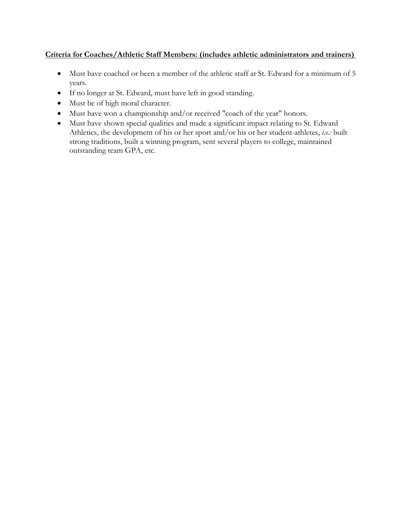#### **Criteria for Coaches/Athletic Staff Members: (includes athletic administrators and trainers)**

- Must have coached or been a member of the athletic staff at St. Edward for a minimum of 5 years.
- If no longer at St. Edward, must have left in good standing.
- Must be of high moral character.
- Must have won a championship and/or received "coach of the year" honors.
- Must have shown special qualities and made a significant impact relating to St. Edward Athletics, the development of his or her sport and/or his or her student-athletes, *i.e.:* built strong traditions, built a winning program, sent several players to college, maintained outstanding team GPA, etc.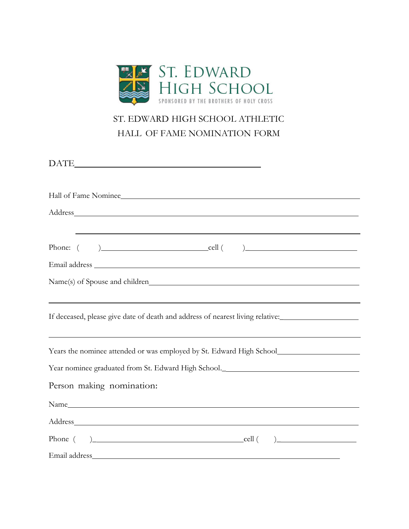

# ST. EDWARD HIGH SCHOOL ATHLETIC HALL OF FAME NOMINATION FORM

DATE

| Hall of Fame Nominee                                                                                                                                                                                                           |
|--------------------------------------------------------------------------------------------------------------------------------------------------------------------------------------------------------------------------------|
| Address and the contract of the contract of the contract of the contract of the contract of the contract of the contract of the contract of the contract of the contract of the contract of the contract of the contract of th |
| ,我们也不会有什么。""我们的人,我们也不会有什么?""我们的人,我们也不会有什么?""我们的人,我们也不会有什么?""我们的人,我们也不会有什么?""我们的人                                                                                                                                               |
| Phone: $\begin{pmatrix} 0 & 1 \\ 0 & 1 \end{pmatrix}$ cell $\begin{pmatrix} 0 & 1 \\ 0 & 1 \end{pmatrix}$                                                                                                                      |
|                                                                                                                                                                                                                                |
|                                                                                                                                                                                                                                |
|                                                                                                                                                                                                                                |
| If deceased, please give date of death and address of nearest living relative:_____________________                                                                                                                            |
|                                                                                                                                                                                                                                |
| Years the nominee attended or was employed by St. Edward High School________________________________                                                                                                                           |
| Year nominee graduated from St. Edward High School.______________________________                                                                                                                                              |
| Person making nomination:                                                                                                                                                                                                      |
|                                                                                                                                                                                                                                |
|                                                                                                                                                                                                                                |
|                                                                                                                                                                                                                                |
|                                                                                                                                                                                                                                |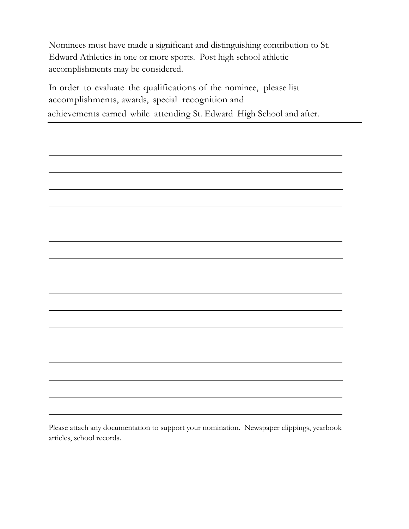Nominees must have made a significant and distinguishing contribution to St. Edward Athletics in one or more sports. Post high school athletic accomplishments may be considered.

In order to evaluate the qualifications of the nominee, please list accomplishments, awards, special recognition and achievements earned while attending St. Edward High School and after.

Please attach any documentation to support your nomination. Newspaper clippings, yearbook articles, school records.